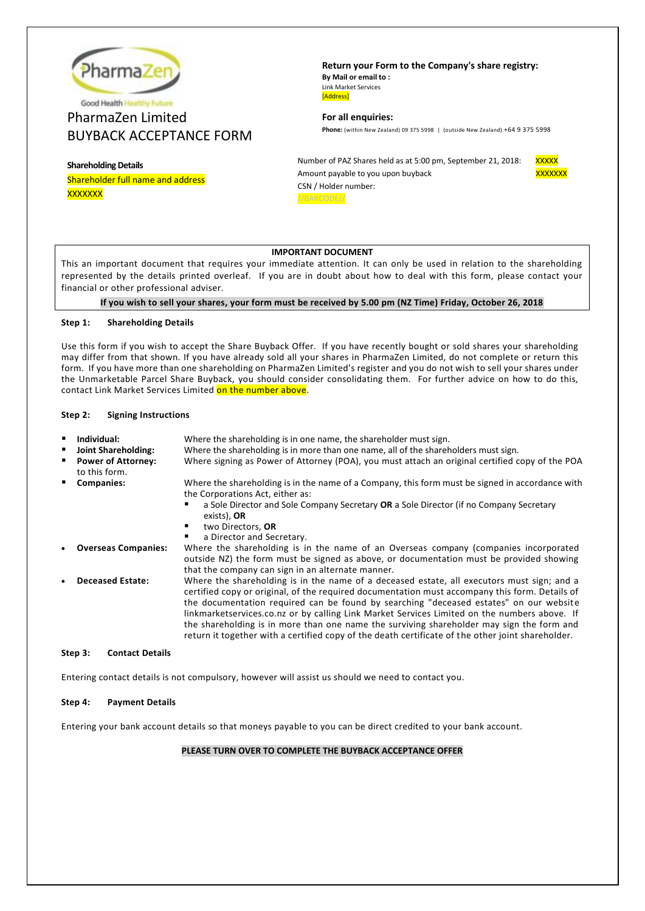

# PharmaZen Limited BUYBACK ACCEPTANCE FORM

**Shareholding Details** Shareholder full name and address

xxxxxxx

**Return your Form to the Company's share registry: By Mail or email to :** Link Market Services [Address]

**For all enquiries: Phone:** (within New Zealand) 09 375 5998 | (outside New Zealand) +64 9 375 5998

Number of PAZ Shares held as at 5:00 pm, September 21, 2018: XXXXX Amount payable to you upon buyback XXXXXXX CSN / Holder number: //BARCODE//



# **IMPORTANT DOCUMENT**

This an important document that requires your immediate attention. It can only be used in relation to the shareholding represented by the details printed overleaf. If you are in doubt about how to deal with this form, please contact your financial or other professional adviser.

**If you wish to sell your shares, your form must be received by 5.00 pm (NZ Time) Friday, October 26, 2018**

## **Step 1: Shareholding Details**

Use this form if you wish to accept the Share Buyback Offer. If you have recently bought or sold shares your shareholding may differ from that shown. If you have already sold all your shares in PharmaZen Limited, do not complete or return this form. If you have more than one shareholding on PharmaZen Limited's register and you do not wish to sell your shares under the Unmarketable Parcel Share Buyback, you should consider consolidating them. For further advice on how to do this, contact Link Market Services Limited on the number above.

## **Step 2: Signing Instructions**

| Individual:<br>Joint Shareholding:<br><b>Power of Attorney:</b><br>to this form. | Where the shareholding is in one name, the shareholder must sign.<br>Where the shareholding is in more than one name, all of the shareholders must sign.<br>Where signing as Power of Attorney (POA), you must attach an original certified copy of the POA                                                                                                                                                                                                                                                                                                                              |
|----------------------------------------------------------------------------------|------------------------------------------------------------------------------------------------------------------------------------------------------------------------------------------------------------------------------------------------------------------------------------------------------------------------------------------------------------------------------------------------------------------------------------------------------------------------------------------------------------------------------------------------------------------------------------------|
| <b>Companies:</b>                                                                | Where the shareholding is in the name of a Company, this form must be signed in accordance with<br>the Corporations Act, either as:<br>a Sole Director and Sole Company Secretary OR a Sole Director (if no Company Secretary<br>exists), OR<br>two Directors, OR<br>a Director and Secretary.<br>٠                                                                                                                                                                                                                                                                                      |
| <b>Overseas Companies:</b>                                                       | Where the shareholding is in the name of an Overseas company (companies incorporated<br>outside NZ) the form must be signed as above, or documentation must be provided showing<br>that the company can sign in an alternate manner.                                                                                                                                                                                                                                                                                                                                                     |
| <b>Deceased Estate:</b>                                                          | Where the shareholding is in the name of a deceased estate, all executors must sign; and a<br>certified copy or original, of the required documentation must accompany this form. Details of<br>the documentation required can be found by searching "deceased estates" on our website<br>linkmarketservices.co.nz or by calling Link Market Services Limited on the numbers above. If<br>the shareholding is in more than one name the surviving shareholder may sign the form and<br>return it together with a certified copy of the death certificate of the other joint shareholder. |
|                                                                                  |                                                                                                                                                                                                                                                                                                                                                                                                                                                                                                                                                                                          |

## **Step 3: Contact Details**

Entering contact details is not compulsory, however will assist us should we need to contact you.

## **Step 4: Payment Details**

Entering your bank account details so that moneys payable to you can be direct credited to your bank account.

## **PLEASE TURN OVER TO COMPLETE THE BUYBACK ACCEPTANCE OFFER**